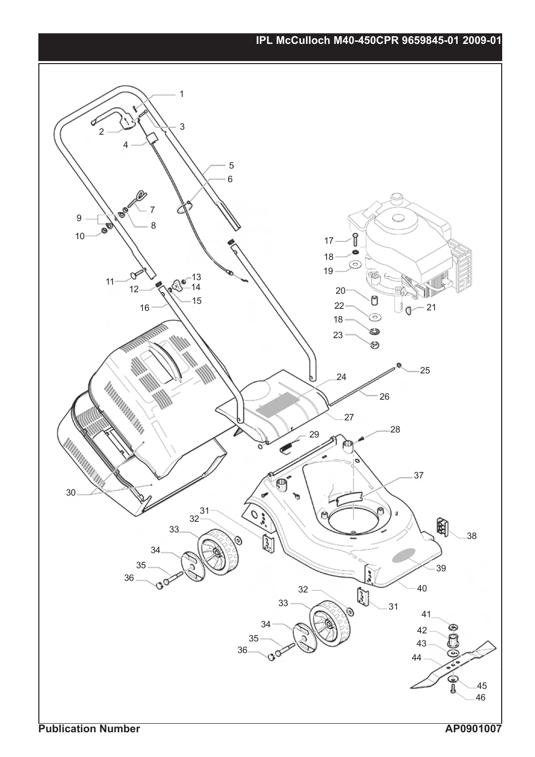